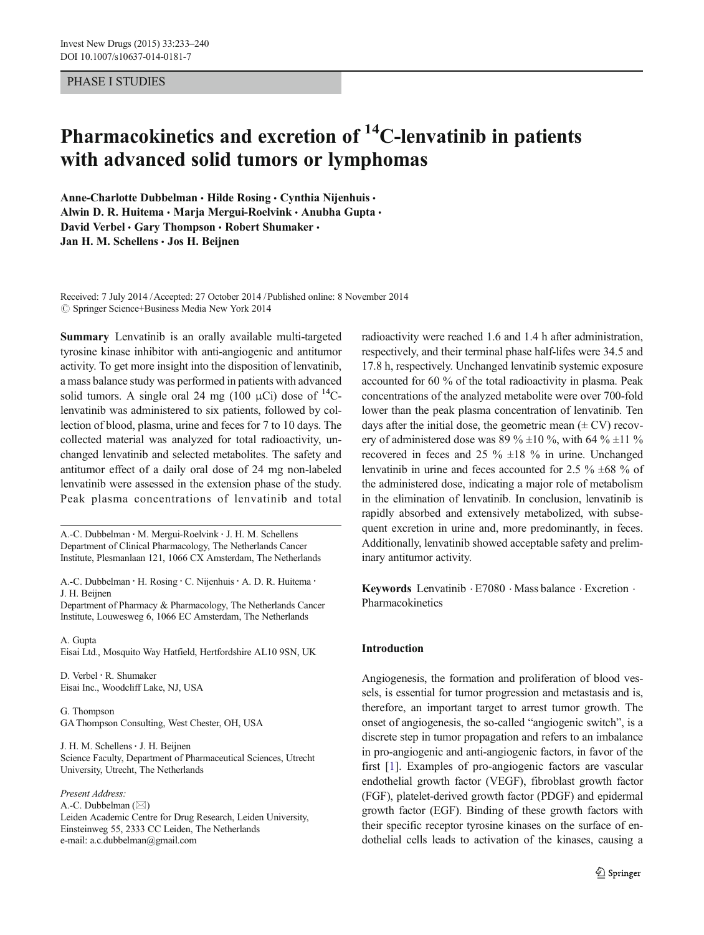#### PHASE I STUDIES

# Pharmacokinetics and excretion of  ${}^{14}$ C-lenvatinib in patients with advanced solid tumors or lymphomas

Anne-Charlotte Dubbelman · Hilde Rosing · Cynthia Nijenhuis · Alwin D. R. Huitema · Marja Mergui-Roelvink · Anubha Gupta · David Verbel • Gary Thompson • Robert Shumaker • Jan H. M. Schellens · Jos H. Beijnen

Received: 7 July 2014 /Accepted: 27 October 2014 /Published online: 8 November 2014  $\circledcirc$  Springer Science+Business Media New York 2014

Summary Lenvatinib is an orally available multi-targeted tyrosine kinase inhibitor with anti-angiogenic and antitumor activity. To get more insight into the disposition of lenvatinib, a mass balance study was performed in patients with advanced solid tumors. A single oral 24 mg (100 μCi) dose of  $^{14}$ Clenvatinib was administered to six patients, followed by collection of blood, plasma, urine and feces for 7 to 10 days. The collected material was analyzed for total radioactivity, unchanged lenvatinib and selected metabolites. The safety and antitumor effect of a daily oral dose of 24 mg non-labeled lenvatinib were assessed in the extension phase of the study. Peak plasma concentrations of lenvatinib and total

A.<C. Dubbelman : M. Mergui-Roelvink : J. H. M. Schellens Department of Clinical Pharmacology, The Netherlands Cancer Institute, Plesmanlaan 121, 1066 CX Amsterdam, The Netherlands

A.-C. Dubbelman · H. Rosing · C. Nijenhuis · A. D. R. Huitema · J. H. Beijnen

Department of Pharmacy & Pharmacology, The Netherlands Cancer Institute, Louwesweg 6, 1066 EC Amsterdam, The Netherlands

A. Gupta Eisai Ltd., Mosquito Way Hatfield, Hertfordshire AL10 9SN, UK

D. Verbel : R. Shumaker Eisai Inc., Woodcliff Lake, NJ, USA

G. Thompson GA Thompson Consulting, West Chester, OH, USA

J. H. M. Schellens: J. H. Beijnen Science Faculty, Department of Pharmaceutical Sciences, Utrecht University, Utrecht, The Netherlands

#### Present Address:

A.-C. Dubbelman  $(\boxtimes)$ 

Leiden Academic Centre for Drug Research, Leiden University, Einsteinweg 55, 2333 CC Leiden, The Netherlands e-mail: a.c.dubbelman@gmail.com

radioactivity were reached 1.6 and 1.4 h after administration, respectively, and their terminal phase half-lifes were 34.5 and 17.8 h, respectively. Unchanged lenvatinib systemic exposure accounted for 60 % of the total radioactivity in plasma. Peak concentrations of the analyzed metabolite were over 700-fold lower than the peak plasma concentration of lenvatinib. Ten days after the initial dose, the geometric mean  $(\pm$  CV) recovery of administered dose was 89 %  $\pm$ 10 %, with 64 %  $\pm$ 11 % recovered in feces and 25  $\%$  ±18  $\%$  in urine. Unchanged lenvatinib in urine and feces accounted for 2.5  $\%$   $\pm$ 68  $\%$  of the administered dose, indicating a major role of metabolism in the elimination of lenvatinib. In conclusion, lenvatinib is rapidly absorbed and extensively metabolized, with subsequent excretion in urine and, more predominantly, in feces. Additionally, lenvatinib showed acceptable safety and preliminary antitumor activity.

Keywords Lenvatinib  $E7080$   $Mass$  balance  $E$ xcretion  $\cdot$ Pharmacokinetics

## Introduction

Angiogenesis, the formation and proliferation of blood vessels, is essential for tumor progression and metastasis and is, therefore, an important target to arrest tumor growth. The onset of angiogenesis, the so-called "angiogenic switch", is a discrete step in tumor propagation and refers to an imbalance in pro-angiogenic and anti-angiogenic factors, in favor of the first [\[1](#page-7-0)]. Examples of pro-angiogenic factors are vascular endothelial growth factor (VEGF), fibroblast growth factor (FGF), platelet-derived growth factor (PDGF) and epidermal growth factor (EGF). Binding of these growth factors with their specific receptor tyrosine kinases on the surface of endothelial cells leads to activation of the kinases, causing a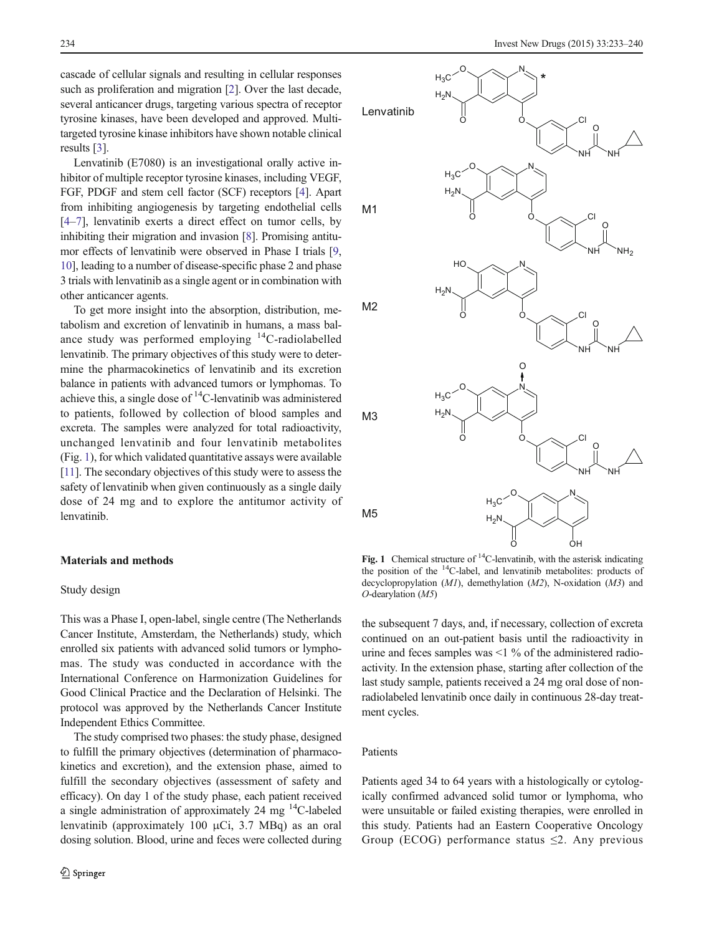<span id="page-1-0"></span>cascade of cellular signals and resulting in cellular responses such as proliferation and migration [[2\]](#page-7-0). Over the last decade, several anticancer drugs, targeting various spectra of receptor tyrosine kinases, have been developed and approved. Multitargeted tyrosine kinase inhibitors have shown notable clinical results [[3\]](#page-7-0).

Lenvatinib (E7080) is an investigational orally active inhibitor of multiple receptor tyrosine kinases, including VEGF, FGF, PDGF and stem cell factor (SCF) receptors [\[4](#page-7-0)]. Apart from inhibiting angiogenesis by targeting endothelial cells [\[4](#page-7-0)–[7](#page-7-0)], lenvatinib exerts a direct effect on tumor cells, by inhibiting their migration and invasion [\[8\]](#page-7-0). Promising antitumor effects of lenvatinib were observed in Phase I trials [[9,](#page-7-0) [10\]](#page-7-0), leading to a number of disease-specific phase 2 and phase 3 trials with lenvatinib as a single agent or in combination with other anticancer agents.

To get more insight into the absorption, distribution, metabolism and excretion of lenvatinib in humans, a mass balance study was performed employing  ${}^{14}C$ -radiolabelled lenvatinib. The primary objectives of this study were to determine the pharmacokinetics of lenvatinib and its excretion balance in patients with advanced tumors or lymphomas. To achieve this, a single dose of  $^{14}$ C-lenvatinib was administered to patients, followed by collection of blood samples and excreta. The samples were analyzed for total radioactivity, unchanged lenvatinib and four lenvatinib metabolites (Fig. 1), for which validated quantitative assays were available [\[11\]](#page-7-0). The secondary objectives of this study were to assess the safety of lenvatinib when given continuously as a single daily dose of 24 mg and to explore the antitumor activity of lenvatinib.

#### Materials and methods

#### Study design

This was a Phase I, open-label, single centre (The Netherlands Cancer Institute, Amsterdam, the Netherlands) study, which enrolled six patients with advanced solid tumors or lymphomas. The study was conducted in accordance with the International Conference on Harmonization Guidelines for Good Clinical Practice and the Declaration of Helsinki. The protocol was approved by the Netherlands Cancer Institute Independent Ethics Committee.

The study comprised two phases: the study phase, designed to fulfill the primary objectives (determination of pharmacokinetics and excretion), and the extension phase, aimed to fulfill the secondary objectives (assessment of safety and efficacy). On day 1 of the study phase, each patient received a single administration of approximately 24 mg  $^{14}$ C-labeled lenvatinib (approximately 100 μCi, 3.7 MBq) as an oral dosing solution. Blood, urine and feces were collected during



Fig. 1 Chemical structure of  ${}^{14}$ C-lenvatinib, with the asterisk indicating the position of the  $^{14}$ C-label, and lenvatinib metabolites: products of decyclopropylation  $(M1)$ , demethylation  $(M2)$ , N-oxidation  $(M3)$  and O-dearylation (M5)

the subsequent 7 days, and, if necessary, collection of excreta continued on an out-patient basis until the radioactivity in urine and feces samples was <1 % of the administered radioactivity. In the extension phase, starting after collection of the last study sample, patients received a 24 mg oral dose of nonradiolabeled lenvatinib once daily in continuous 28-day treatment cycles.

## Patients

Patients aged 34 to 64 years with a histologically or cytologically confirmed advanced solid tumor or lymphoma, who were unsuitable or failed existing therapies, were enrolled in this study. Patients had an Eastern Cooperative Oncology Group (ECOG) performance status  $\leq$ 2. Any previous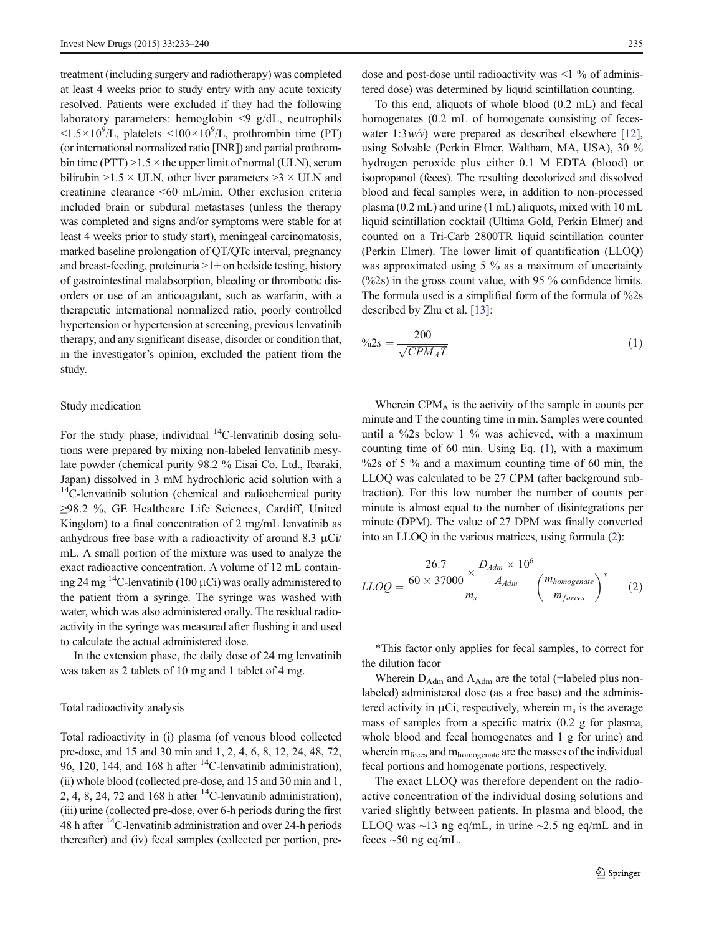treatment (including surgery and radiotherapy) was completed at least 4 weeks prior to study entry with any acute toxicity resolved. Patients were excluded if they had the following laboratory parameters: hemoglobin  $\leq 9$  g/dL, neutrophils  $\langle 1.5 \times 10^9 / L$ , platelets  $\langle 100 \times 10^9 / L$ , prothrombin time (PT) (or international normalized ratio [INR]) and partial prothrombin time (PTT)  $>1.5 \times$  the upper limit of normal (ULN), serum bilirubin  $>1.5 \times$  ULN, other liver parameters  $>3 \times$  ULN and creatinine clearance <60 mL/min. Other exclusion criteria included brain or subdural metastases (unless the therapy was completed and signs and/or symptoms were stable for at least 4 weeks prior to study start), meningeal carcinomatosis, marked baseline prolongation of QT/QTc interval, pregnancy and breast-feeding, proteinuria  $>1+$  on bedside testing, history of gastrointestinal malabsorption, bleeding or thrombotic disorders or use of an anticoagulant, such as warfarin, with a therapeutic international normalized ratio, poorly controlled hypertension or hypertension at screening, previous lenvatinib therapy, and any significant disease, disorder or condition that, in the investigator's opinion, excluded the patient from the study.

#### Study medication

For the study phase, individual  $^{14}$ C-lenvatinib dosing solutions were prepared by mixing non-labeled lenvatinib mesylate powder (chemical purity 98.2 % Eisai Co. Ltd., Ibaraki, Japan) dissolved in 3 mM hydrochloric acid solution with a  $14$ C-lenvatinib solution (chemical and radiochemical purity ≥98.2 %, GE Healthcare Life Sciences, Cardiff, United Kingdom) to a final concentration of 2 mg/mL lenvatinib as anhydrous free base with a radioactivity of around 8.3  $\mu$ Ci/ mL. A small portion of the mixture was used to analyze the exact radioactive concentration. A volume of 12 mL containing 24 mg <sup>14</sup>C-lenvatinib (100  $\mu$ Ci) was orally administered to the patient from a syringe. The syringe was washed with water, which was also administered orally. The residual radioactivity in the syringe was measured after flushing it and used to calculate the actual administered dose.

In the extension phase, the daily dose of 24 mg lenvatinib was taken as 2 tablets of 10 mg and 1 tablet of 4 mg.

### Total radioactivity analysis

Total radioactivity in (i) plasma (of venous blood collected pre-dose, and 15 and 30 min and 1, 2, 4, 6, 8, 12, 24, 48, 72, 96, 120, 144, and 168 h after  $^{14}$ C-lenvatinib administration), (ii) whole blood (collected pre-dose, and 15 and 30 min and 1, 2, 4, 8, 24, 72 and 168 h after  $^{14}$ C-lenvatinib administration), (iii) urine (collected pre-dose, over 6-h periods during the first 48 h after 14C-lenvatinib administration and over 24-h periods thereafter) and (iv) fecal samples (collected per portion, pre-

dose and post-dose until radioactivity was  $\leq 1$  % of administered dose) was determined by liquid scintillation counting.

To this end, aliquots of whole blood (0.2 mL) and fecal homogenates (0.2 mL of homogenate consisting of feceswater  $1:3w/v$  were prepared as described elsewhere [[12\]](#page-7-0). using Solvable (Perkin Elmer, Waltham, MA, USA), 30 % hydrogen peroxide plus either 0.1 M EDTA (blood) or isopropanol (feces). The resulting decolorized and dissolved blood and fecal samples were, in addition to non-processed plasma (0.2 mL) and urine (1 mL) aliquots, mixed with 10 mL liquid scintillation cocktail (Ultima Gold, Perkin Elmer) and counted on a Tri-Carb 2800TR liquid scintillation counter (Perkin Elmer). The lower limit of quantification (LLOQ) was approximated using 5 % as a maximum of uncertainty (%2s) in the gross count value, with 95 % confidence limits. The formula used is a simplified form of the formula of %2s described by Zhu et al. [\[13](#page-7-0)]:

$$
\%2s = \frac{200}{\sqrt{CPM_A T}}\tag{1}
$$

Wherein  $CPM_A$  is the activity of the sample in counts per minute and T the counting time in min. Samples were counted until a %2s below 1 % was achieved, with a maximum counting time of 60 min. Using Eq. (1), with a maximum %2s of 5 % and a maximum counting time of 60 min, the LLOQ was calculated to be 27 CPM (after background subtraction). For this low number the number of counts per minute is almost equal to the number of disintegrations per minute (DPM). The value of 27 DPM was finally converted into an LLOQ in the various matrices, using formula (2):

$$
LLOQ = \frac{\frac{26.7}{60 \times 37000} \times \frac{D_{Adm} \times 10^6}{A_{Adm}}}{m_s} \left(\frac{m_{homogenate}}{m_{faces}}\right)^* \tag{2}
$$

\*This factor only applies for fecal samples, to correct for the dilution facor

Wherein  $D_{\text{Adm}}$  and  $A_{\text{Adm}}$  are the total (=labeled plus nonlabeled) administered dose (as a free base) and the administered activity in  $\mu$ Ci, respectively, wherein  $m_s$  is the average mass of samples from a specific matrix (0.2 g for plasma, whole blood and fecal homogenates and 1 g for urine) and wherein  $m_{\text{feces}}$  and  $m_{\text{homogenate}}$  are the masses of the individual fecal portions and homogenate portions, respectively.

The exact LLOQ was therefore dependent on the radioactive concentration of the individual dosing solutions and varied slightly between patients. In plasma and blood, the LLOQ was  $\sim$ 13 ng eq/mL, in urine  $\sim$ 2.5 ng eq/mL and in feces  $\sim 50$  ng eq/mL.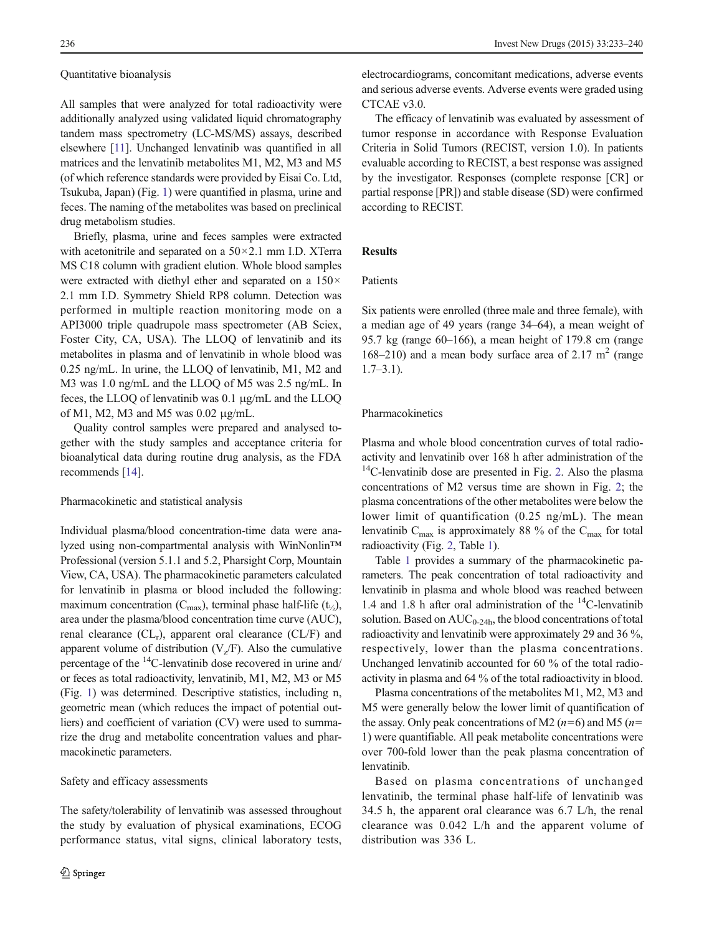#### Quantitative bioanalysis

All samples that were analyzed for total radioactivity were additionally analyzed using validated liquid chromatography tandem mass spectrometry (LC-MS/MS) assays, described elsewhere [[11](#page-7-0)]. Unchanged lenvatinib was quantified in all matrices and the lenvatinib metabolites M1, M2, M3 and M5 (of which reference standards were provided by Eisai Co. Ltd, Tsukuba, Japan) (Fig. [1](#page-1-0)) were quantified in plasma, urine and feces. The naming of the metabolites was based on preclinical drug metabolism studies.

Briefly, plasma, urine and feces samples were extracted with acetonitrile and separated on a  $50 \times 2.1$  mm I.D. XTerra MS C18 column with gradient elution. Whole blood samples were extracted with diethyl ether and separated on a  $150\times$ 2.1 mm I.D. Symmetry Shield RP8 column. Detection was performed in multiple reaction monitoring mode on a API3000 triple quadrupole mass spectrometer (AB Sciex, Foster City, CA, USA). The LLOQ of lenvatinib and its metabolites in plasma and of lenvatinib in whole blood was 0.25 ng/mL. In urine, the LLOQ of lenvatinib, M1, M2 and M3 was 1.0 ng/mL and the LLOQ of M5 was 2.5 ng/mL. In feces, the LLOQ of lenvatinib was 0.1 μg/mL and the LLOQ of M1, M2, M3 and M5 was 0.02 μg/mL.

Quality control samples were prepared and analysed together with the study samples and acceptance criteria for bioanalytical data during routine drug analysis, as the FDA recommends [\[14](#page-7-0)].

## Pharmacokinetic and statistical analysis

Individual plasma/blood concentration-time data were analyzed using non-compartmental analysis with WinNonlin™ Professional (version 5.1.1 and 5.2, Pharsight Corp, Mountain View, CA, USA). The pharmacokinetic parameters calculated for lenvatinib in plasma or blood included the following: maximum concentration ( $C_{\text{max}}$ ), terminal phase half-life ( $t_{1/2}$ ), area under the plasma/blood concentration time curve (AUC), renal clearance  $(CL_r)$ , apparent oral clearance  $(CL/F)$  and apparent volume of distribution  $(V_z/F)$ . Also the cumulative percentage of the <sup>14</sup>C-lenvatinib dose recovered in urine and/ or feces as total radioactivity, lenvatinib, M1, M2, M3 or M5 (Fig. [1](#page-1-0)) was determined. Descriptive statistics, including n, geometric mean (which reduces the impact of potential outliers) and coefficient of variation (CV) were used to summarize the drug and metabolite concentration values and pharmacokinetic parameters.

#### Safety and efficacy assessments

The safety/tolerability of lenvatinib was assessed throughout the study by evaluation of physical examinations, ECOG performance status, vital signs, clinical laboratory tests,

electrocardiograms, concomitant medications, adverse events and serious adverse events. Adverse events were graded using CTCAE v3.0.

The efficacy of lenvatinib was evaluated by assessment of tumor response in accordance with Response Evaluation Criteria in Solid Tumors (RECIST, version 1.0). In patients evaluable according to RECIST, a best response was assigned by the investigator. Responses (complete response [CR] or partial response [PR]) and stable disease (SD) were confirmed according to RECIST.

# Results

#### Patients

Six patients were enrolled (three male and three female), with a median age of 49 years (range 34–64), a mean weight of 95.7 kg (range 60–166), a mean height of 179.8 cm (range 168–210) and a mean body surface area of 2.17  $m<sup>2</sup>$  (range  $1.7-3.1$ ).

#### Pharmacokinetics

Plasma and whole blood concentration curves of total radioactivity and lenvatinib over 168 h after administration of the  $14$ C-lenvatinib dose are presented in Fig. [2.](#page-4-0) Also the plasma concentrations of M2 versus time are shown in Fig. [2;](#page-4-0) the plasma concentrations of the other metabolites were below the lower limit of quantification (0.25 ng/mL). The mean lenvatinib  $C_{\text{max}}$  is approximately 88 % of the  $C_{\text{max}}$  for total radioactivity (Fig. [2](#page-4-0), Table [1](#page-4-0)).

Table [1](#page-4-0) provides a summary of the pharmacokinetic parameters. The peak concentration of total radioactivity and lenvatinib in plasma and whole blood was reached between 1.4 and 1.8 h after oral administration of the  $^{14}$ C-lenvatinib solution. Based on  $AUC_{0-24h}$ , the blood concentrations of total radioactivity and lenvatinib were approximately 29 and 36 %, respectively, lower than the plasma concentrations. Unchanged lenvatinib accounted for 60 % of the total radioactivity in plasma and 64 % of the total radioactivity in blood.

Plasma concentrations of the metabolites M1, M2, M3 and M5 were generally below the lower limit of quantification of the assay. Only peak concentrations of M2 ( $n=6$ ) and M5 ( $n=$ 1) were quantifiable. All peak metabolite concentrations were over 700-fold lower than the peak plasma concentration of lenvatinib.

Based on plasma concentrations of unchanged lenvatinib, the terminal phase half-life of lenvatinib was 34.5 h, the apparent oral clearance was 6.7 L/h, the renal clearance was 0.042 L/h and the apparent volume of distribution was 336 L.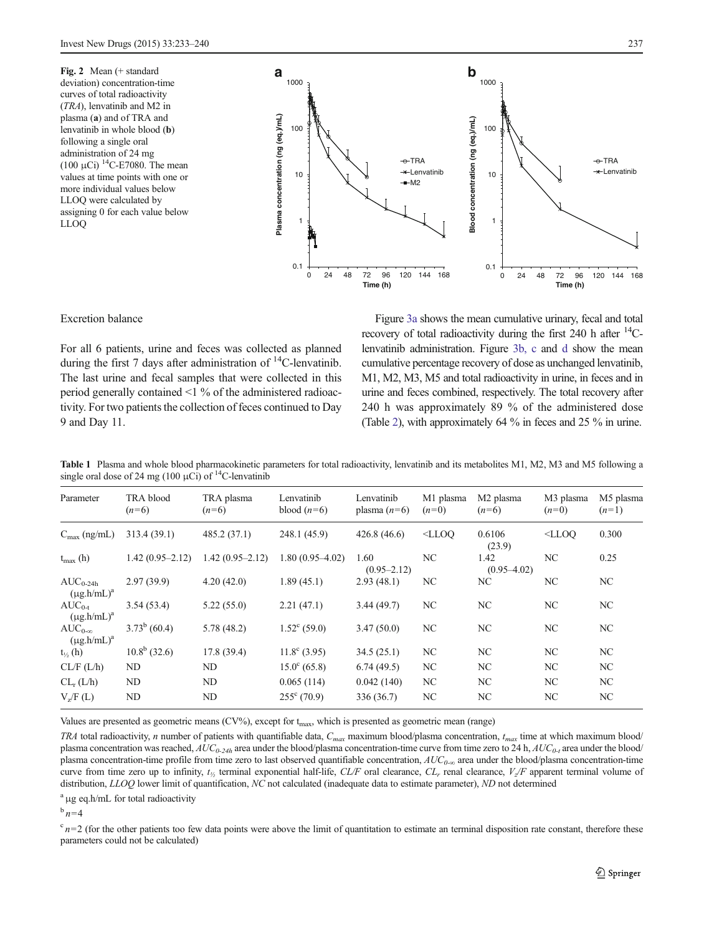<span id="page-4-0"></span>Fig. 2 Mean (+ standard deviation) concentration-time curves of total radioactivity (TRA), lenvatinib and M2 in plasma (a) and of TRA and lenvatinib in whole blood (b) following a single oral administration of 24 mg  $(100 \mu\text{Ci})$ <sup>14</sup>C-E7080. The mean values at time points with one or more individual values below LLOQ were calculated by assigning 0 for each value below LLOQ



Excretion balance

For all 6 patients, urine and feces was collected as planned during the first 7 days after administration of  $^{14}$ C-lenvatinib. The last urine and fecal samples that were collected in this period generally contained <1 % of the administered radioactivity. For two patients the collection of feces continued to Day 9 and Day 11.

Figure [3a](#page-5-0) shows the mean cumulative urinary, fecal and total recovery of total radioactivity during the first  $240$  h after  $^{14}$ Clenvatinib administration. Figure [3b, c](#page-5-0) and [d](#page-5-0) show the mean cumulative percentage recovery of dose as unchanged lenvatinib, M1, M2, M3, M5 and total radioactivity in urine, in feces and in urine and feces combined, respectively. The total recovery after 240 h was approximately 89 % of the administered dose (Table [2\)](#page-6-0), with approximately 64 % in feces and 25 % in urine.

Table 1 Plasma and whole blood pharmacokinetic parameters for total radioactivity, lenvatinib and its metabolites M1, M2, M3 and M5 following a single oral dose of 24 mg (100  $\mu$ Ci) of <sup>14</sup>C-lenvatinib

| Parameter                            | TRA blood<br>$(n=6)$ | TRA plasma<br>$(n=6)$ | Lenvatinib<br>blood $(n=6)$ | Lenvatinib<br>plasma $(n=6)$ | M1 plasma<br>$(n=0)$ | M <sub>2</sub> plasma<br>$(n=6)$ | M <sub>3</sub> plasma<br>$(n=0)$ | M5 plasma<br>$(n=1)$ |
|--------------------------------------|----------------------|-----------------------|-----------------------------|------------------------------|----------------------|----------------------------------|----------------------------------|----------------------|
| $C_{\text{max}}$ (ng/mL)             | 313.4 (39.1)         | 485.2(37.1)           | 248.1 (45.9)                | 426.8(46.6)                  | $<$ LLOO             | 0.6106<br>(23.9)                 | $<$ LLOO                         | 0.300                |
| $t_{\text{max}}$ (h)                 | $1.42(0.95 - 2.12)$  | $1.42(0.95 - 2.12)$   | $1.80(0.95-4.02)$           | 1.60<br>$(0.95 - 2.12)$      | NC                   | 1.42<br>$(0.95 - 4.02)$          | NC                               | 0.25                 |
| $AUC_{0-24h}$<br>$(\mu g.h/mL)^a$    | 2.97(39.9)           | 4.20(42.0)            | 1.89(45.1)                  | 2.93(48.1)                   | NC                   | NC                               | NC                               | NC.                  |
| $AUC_{0-t}$<br>$(\mu g.h/mL)^a$      | 3.54(53.4)           | 5.22(55.0)            | 2.21(47.1)                  | 3.44(49.7)                   | NC                   | NC.                              | NC                               | NC.                  |
| $AUC_{0-\infty}$<br>$(\mu g.h/mL)^a$ | $3.73^b$ (60.4)      | 5.78(48.2)            | $1.52^{\circ}$ (59.0)       | 3.47(50.0)                   | NC                   | NC.                              | NC                               | NC.                  |
| $t_{\frac{1}{2}}(h)$                 | $10.8^b$ (32.6)      | 17.8(39.4)            | $11.8^{\circ}$ (3.95)       | 34.5(25.1)                   | NC                   | NC.                              | NC                               | NC                   |
| CL/F (L/h)                           | ND.                  | N <sub>D</sub>        | $15.0^{\circ}$ (65.8)       | 6.74(49.5)                   | NC                   | NC                               | NC                               | NC                   |
| $CL_r(L/h)$                          | ND.                  | ND                    | 0.065(114)                  | 0.042(140)                   | NC                   | NC.                              | NC                               | NC.                  |
| V <sub>z</sub> /F(L)                 | ND                   | ND                    | $255^{\circ}$ (70.9)        | 336 (36.7)                   | NC                   | NC.                              | NC                               | NC.                  |

Values are presented as geometric means (CV%), except for t<sub>max</sub>, which is presented as geometric mean (range)

TRA total radioactivity, n number of patients with quantifiable data,  $C_{max}$  maximum blood/plasma concentration,  $t_{max}$  time at which maximum blood/ plasma concentration was reached,  $AUC_{0-24h}$  area under the blood/plasma concentration-time curve from time zero to 24 h,  $AUC_{0-1}$  area under the blood/ plasma concentration-time profile from time zero to last observed quantifiable concentration,  $AUC_{0-\infty}$  area under the blood/plasma concentration-time curve from time zero up to infinity,  $t_{\gamma}$  terminal exponential half-life, CL/F oral clearance, CL<sub>r</sub> renal clearance,  $V_{\gamma}/F$  apparent terminal volume of distribution, LLOQ lower limit of quantification, NC not calculated (inadequate data to estimate parameter), ND not determined

<sup>a</sup> μg eq.h/mL for total radioactivity

 $\frac{b}{n}$  n=4

 $c_{n=2}$  (for the other patients too few data points were above the limit of quantitation to estimate an terminal disposition rate constant, therefore these parameters could not be calculated)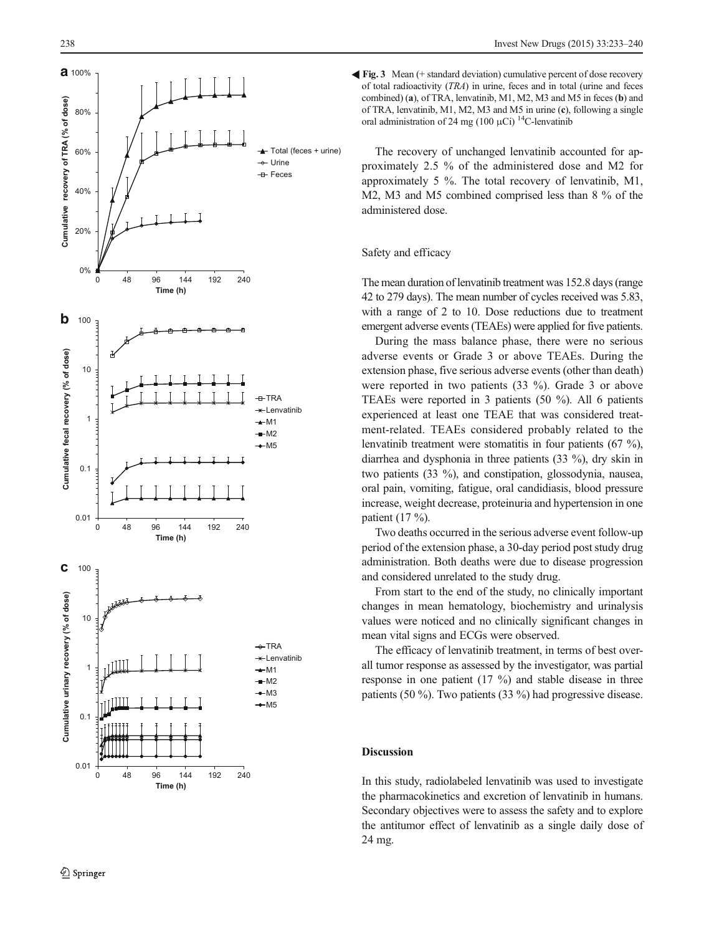<span id="page-5-0"></span>

Fig. 3 Mean (+ standard deviation) cumulative percent of dose recovery of total radioactivity (TRA) in urine, feces and in total (urine and feces combined) (a), of TRA, lenvatinib, M1, M2, M3 and M5 in feces (b) and of TRA, lenvatinib, M1, M2, M3 and M5 in urine (c), following a single oral administration of 24 mg (100  $\mu$ Ci)<sup>14</sup>C-lenvatinib

The recovery of unchanged lenvatinib accounted for approximately 2.5 % of the administered dose and M2 for approximately 5 %. The total recovery of lenvatinib, M1, M2, M3 and M5 combined comprised less than 8 % of the administered dose.

### Safety and efficacy

The mean duration of lenvatinib treatment was 152.8 days (range 42 to 279 days). The mean number of cycles received was 5.83, with a range of 2 to 10. Dose reductions due to treatment emergent adverse events (TEAEs) were applied for five patients.

During the mass balance phase, there were no serious adverse events or Grade 3 or above TEAEs. During the extension phase, five serious adverse events (other than death) were reported in two patients (33 %). Grade 3 or above TEAEs were reported in 3 patients (50 %). All 6 patients experienced at least one TEAE that was considered treatment-related. TEAEs considered probably related to the lenvatinib treatment were stomatitis in four patients (67 %), diarrhea and dysphonia in three patients (33 %), dry skin in two patients (33 %), and constipation, glossodynia, nausea, oral pain, vomiting, fatigue, oral candidiasis, blood pressure increase, weight decrease, proteinuria and hypertension in one patient (17 %).

Two deaths occurred in the serious adverse event follow-up period of the extension phase, a 30-day period post study drug administration. Both deaths were due to disease progression and considered unrelated to the study drug.

From start to the end of the study, no clinically important changes in mean hematology, biochemistry and urinalysis values were noticed and no clinically significant changes in mean vital signs and ECGs were observed.

The efficacy of lenvatinib treatment, in terms of best overall tumor response as assessed by the investigator, was partial response in one patient (17 %) and stable disease in three patients (50 %). Two patients (33 %) had progressive disease.

## Discussion

In this study, radiolabeled lenvatinib was used to investigate the pharmacokinetics and excretion of lenvatinib in humans. Secondary objectives were to assess the safety and to explore the antitumor effect of lenvatinib as a single daily dose of 24 mg.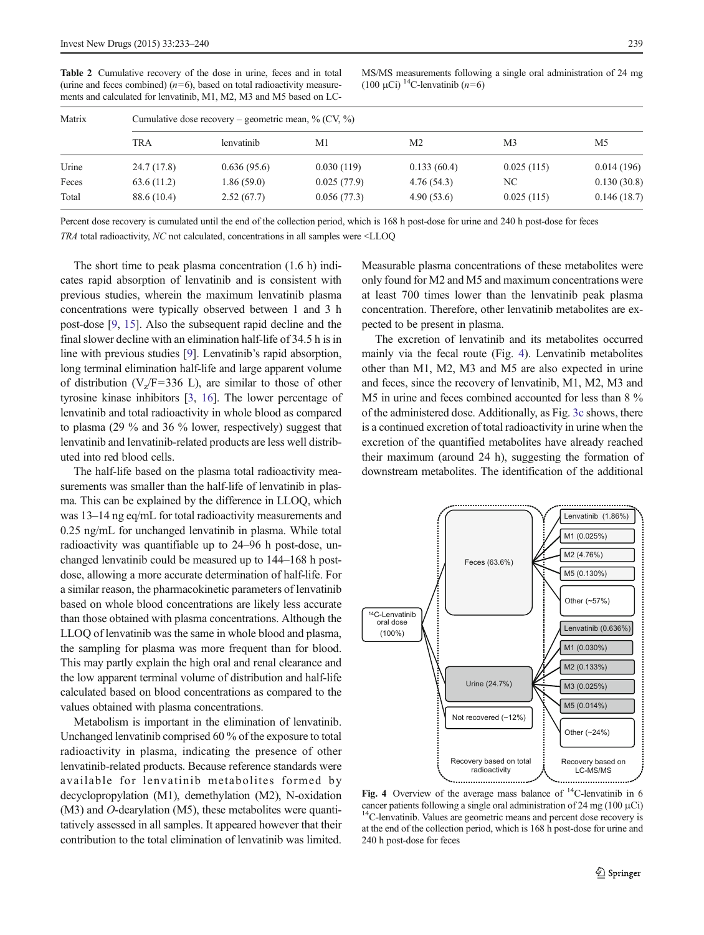<span id="page-6-0"></span>Table 2 Cumulative recovery of the dose in urine, feces and in total (urine and feces combined)  $(n=6)$ , based on total radioactivity measurements and calculated for lenvatinib, M1, M2, M3 and M5 based on LC-

MS/MS measurements following a single oral administration of 24 mg (100 μCi) <sup>14</sup>C-lenvatinib ( $n=6$ )

| Matrix |             | Cumulative dose recovery – geometric mean, $\%$ (CV, $\%$ ) |             |                |            |             |  |  |  |  |  |
|--------|-------------|-------------------------------------------------------------|-------------|----------------|------------|-------------|--|--|--|--|--|
|        | <b>TRA</b>  | lenvatinib                                                  | M1          | M <sub>2</sub> | M3         | M5          |  |  |  |  |  |
| Urine  | 24.7 (17.8) | 0.636(95.6)                                                 | 0.030(119)  | 0.133(60.4)    | 0.025(115) | 0.014(196)  |  |  |  |  |  |
| Feces  | 63.6(11.2)  | 1.86(59.0)                                                  | 0.025(77.9) | 4.76(54.3)     | NC.        | 0.130(30.8) |  |  |  |  |  |
| Total  | 88.6 (10.4) | 2.52(67.7)                                                  | 0.056(77.3) | 4.90(53.6)     | 0.025(115) | 0.146(18.7) |  |  |  |  |  |

Percent dose recovery is cumulated until the end of the collection period, which is 168 h post-dose for urine and 240 h post-dose for feces

TRA total radioactivity, NC not calculated, concentrations in all samples were <LLOQ

The short time to peak plasma concentration (1.6 h) indicates rapid absorption of lenvatinib and is consistent with previous studies, wherein the maximum lenvatinib plasma concentrations were typically observed between 1 and 3 h post-dose [\[9](#page-7-0), [15\]](#page-7-0). Also the subsequent rapid decline and the final slower decline with an elimination half-life of 34.5 h is in line with previous studies [\[9](#page-7-0)]. Lenvatinib's rapid absorption, long terminal elimination half-life and large apparent volume of distribution ( $V_z/F=336$  L), are similar to those of other tyrosine kinase inhibitors [\[3,](#page-7-0) [16](#page-7-0)]. The lower percentage of lenvatinib and total radioactivity in whole blood as compared to plasma (29 % and 36 % lower, respectively) suggest that lenvatinib and lenvatinib-related products are less well distributed into red blood cells.

The half-life based on the plasma total radioactivity measurements was smaller than the half-life of lenvatinib in plasma. This can be explained by the difference in LLOQ, which was 13–14 ng eq/mL for total radioactivity measurements and 0.25 ng/mL for unchanged lenvatinib in plasma. While total radioactivity was quantifiable up to 24–96 h post-dose, unchanged lenvatinib could be measured up to 144–168 h postdose, allowing a more accurate determination of half-life. For a similar reason, the pharmacokinetic parameters of lenvatinib based on whole blood concentrations are likely less accurate than those obtained with plasma concentrations. Although the LLOQ of lenvatinib was the same in whole blood and plasma, the sampling for plasma was more frequent than for blood. This may partly explain the high oral and renal clearance and the low apparent terminal volume of distribution and half-life calculated based on blood concentrations as compared to the values obtained with plasma concentrations.

Metabolism is important in the elimination of lenvatinib. Unchanged lenvatinib comprised 60 % of the exposure to total radioactivity in plasma, indicating the presence of other lenvatinib-related products. Because reference standards were available for lenvatinib metabolites formed by decyclopropylation (M1), demethylation (M2), N-oxidation (M3) and O-dearylation (M5), these metabolites were quantitatively assessed in all samples. It appeared however that their contribution to the total elimination of lenvatinib was limited.

Measurable plasma concentrations of these metabolites were only found for M2 and M5 and maximum concentrations were at least 700 times lower than the lenvatinib peak plasma concentration. Therefore, other lenvatinib metabolites are expected to be present in plasma.

The excretion of lenvatinib and its metabolites occurred mainly via the fecal route (Fig. 4). Lenvatinib metabolites other than M1, M2, M3 and M5 are also expected in urine and feces, since the recovery of lenvatinib, M1, M2, M3 and M5 in urine and feces combined accounted for less than 8 % of the administered dose. Additionally, as Fig. [3c](#page-5-0) shows, there is a continued excretion of total radioactivity in urine when the excretion of the quantified metabolites have already reached their maximum (around 24 h), suggesting the formation of downstream metabolites. The identification of the additional



Fig. 4 Overview of the average mass balance of  $^{14}$ C-lenvatinib in 6 cancer patients following a single oral administration of 24 mg (100  $\mu$ Ci)<sup>14</sup>C-lenvatinib. Values are geometric means and percent dose recovery is at the end of the collection period, which is 168 h post-dose for urine and 240 h post-dose for feces